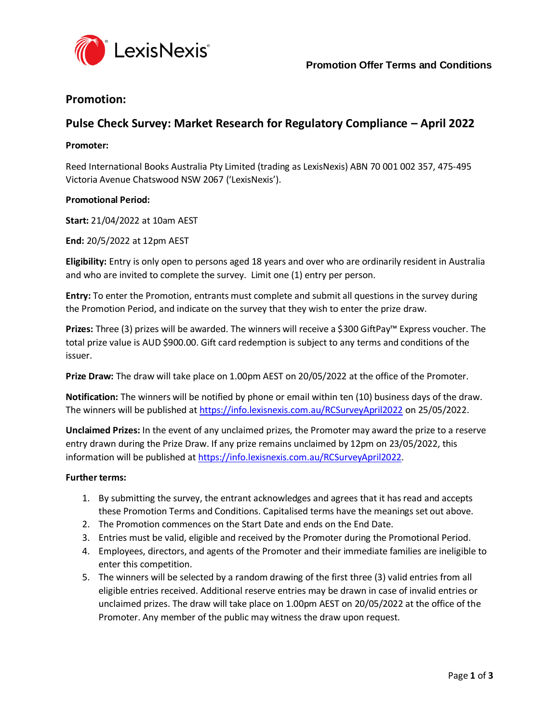

## **Promotion:**

# **Pulse Check Survey: Market Research for Regulatory Compliance – April 2022**

### **Promoter:**

Reed International Books Australia Pty Limited (trading as LexisNexis) ABN 70 001 002 357, 475‐495 Victoria Avenue Chatswood NSW 2067 ('LexisNexis').

### **Promotional Period:**

**Start:** 21/04/2022 at 10am AEST

**End:** 20/5/2022 at 12pm AEST

**Eligibility:** Entry is only open to persons aged 18 years and over who are ordinarily resident in Australia and who are invited to complete the survey. Limit one (1) entry per person.

**Entry:** To enter the Promotion, entrants must complete and submit all questions in the survey during the Promotion Period, and indicate on the survey that they wish to enter the prize draw.

**Prizes:** Three (3) prizes will be awarded. The winners will receive a \$300 GiftPay™ Express voucher. The total prize value is AUD \$900.00. Gift card redemption is subject to any terms and conditions of the issuer.

**Prize Draw:** The draw will take place on 1.00pm AEST on 20/05/2022 at the office of the Promoter.

**Notification:** The winners will be notified by phone or email within ten (10) business days of the draw. The winners will be published at <https://info.lexisnexis.com.au/RCSurveyApril2022> on 25/05/2022.

**Unclaimed Prizes:** In the event of any unclaimed prizes, the Promoter may award the prize to a reserve entry drawn during the Prize Draw. If any prize remains unclaimed by 12pm on 23/05/2022, this information will be published at [https://info.lexisnexis.com.au/RCSurveyApril2022.](https://info.lexisnexis.com.au/RCSurveyApril2022)

### **Further terms:**

- 1. By submitting the survey, the entrant acknowledges and agrees that it has read and accepts these Promotion Terms and Conditions. Capitalised terms have the meanings set out above.
- 2. The Promotion commences on the Start Date and ends on the End Date.
- 3. Entries must be valid, eligible and received by the Promoter during the Promotional Period.
- 4. Employees, directors, and agents of the Promoter and their immediate families are ineligible to enter this competition.
- 5. The winners will be selected by a random drawing of the first three (3) valid entries from all eligible entries received. Additional reserve entries may be drawn in case of invalid entries or unclaimed prizes. The draw will take place on 1.00pm AEST on 20/05/2022 at the office of the Promoter. Any member of the public may witness the draw upon request.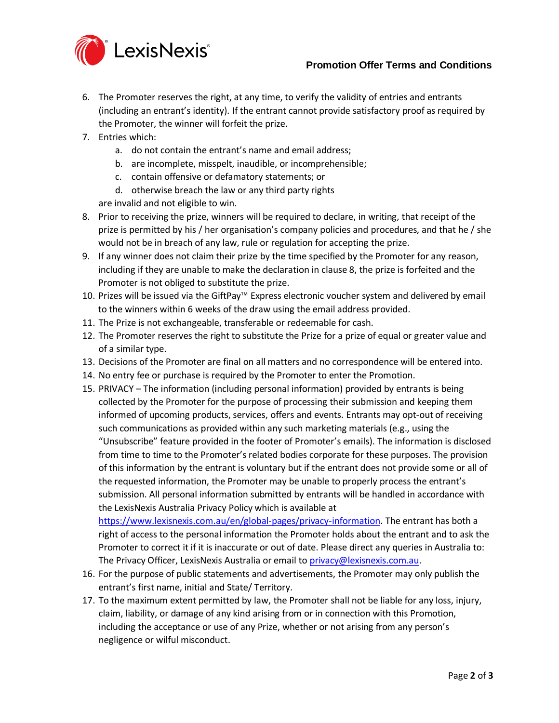## **Promotion Offer Terms and Conditions**



- 6. The Promoter reserves the right, at any time, to verify the validity of entries and entrants (including an entrant's identity). If the entrant cannot provide satisfactory proof as required by the Promoter, the winner will forfeit the prize.
- 7. Entries which:
	- a. do not contain the entrant's name and email address;
	- b. are incomplete, misspelt, inaudible, or incomprehensible;
	- c. contain offensive or defamatory statements; or
	- d. otherwise breach the law or any third party rights

are invalid and not eligible to win.

- <span id="page-1-0"></span>8. Prior to receiving the prize, winners will be required to declare, in writing, that receipt of the prize is permitted by his / her organisation's company policies and procedures, and that he / she would not be in breach of any law, rule or regulation for accepting the prize.
- 9. If any winner does not claim their prize by the time specified by the Promoter for any reason, including if they are unable to make the declaration in claus[e 8,](#page-1-0) the prize is forfeited and the Promoter is not obliged to substitute the prize.
- 10. Prizes will be issued via the GiftPay™ Express electronic voucher system and delivered by email to the winners within 6 weeks of the draw using the email address provided.
- 11. The Prize is not exchangeable, transferable or redeemable for cash.
- 12. The Promoter reserves the right to substitute the Prize for a prize of equal or greater value and of a similar type.
- 13. Decisions of the Promoter are final on all matters and no correspondence will be entered into.
- 14. No entry fee or purchase is required by the Promoter to enter the Promotion.
- 15. PRIVACY The information (including personal information) provided by entrants is being collected by the Promoter for the purpose of processing their submission and keeping them informed of upcoming products, services, offers and events. Entrants may opt-out of receiving such communications as provided within any such marketing materials (e.g., using the "Unsubscribe" feature provided in the footer of Promoter's emails). The information is disclosed from time to time to the Promoter's related bodies corporate for these purposes. The provision of this information by the entrant is voluntary but if the entrant does not provide some or all of the requested information, the Promoter may be unable to properly process the entrant's submission. All personal information submitted by entrants will be handled in accordance with the LexisNexis Australia Privacy Policy which is available at

[https://www.lexisnexis.com.au/en/global-pages/privacy-information.](https://www.lexisnexis.com.au/en/global-pages/privacy-information) The entrant has both a right of access to the personal information the Promoter holds about the entrant and to ask the Promoter to correct it if it is inaccurate or out of date. Please direct any queries in Australia to: The Privacy Officer, LexisNexis Australia or email t[o privacy@lexisnexis.com.au.](mailto:privacy@lexisnexis.com.au)

- 16. For the purpose of public statements and advertisements, the Promoter may only publish the entrant's first name, initial and State/ Territory.
- 17. To the maximum extent permitted by law, the Promoter shall not be liable for any loss, injury, claim, liability, or damage of any kind arising from or in connection with this Promotion, including the acceptance or use of any Prize, whether or not arising from any person's negligence or wilful misconduct.